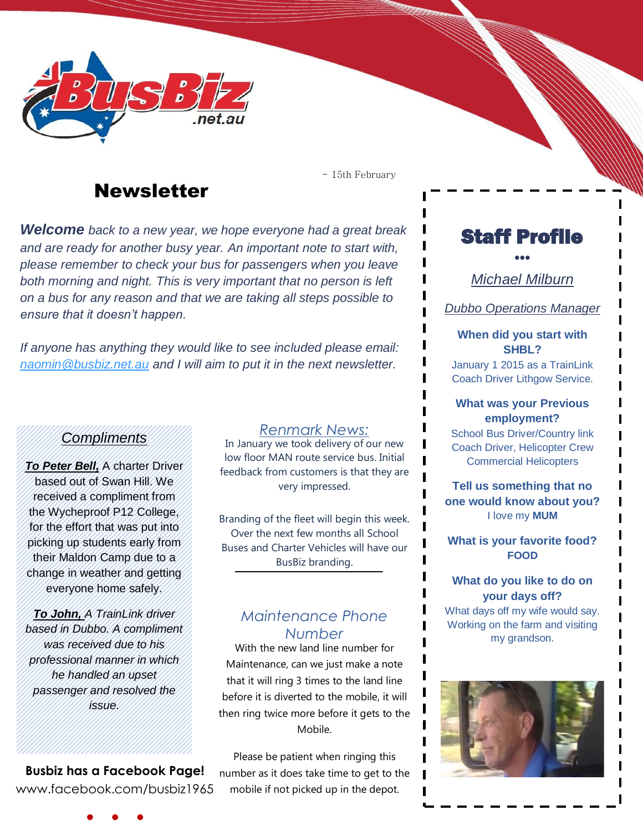

## **Newsletter**

- 15th February

*Welcome back to a new year, we hope everyone had a great break and are ready for another busy year. An important note to start with, please remember to check your bus for passengers when you leave both morning and night. This is very important that no person is left on a bus for any reason and that we are taking all steps possible to ensure that it doesn't happen.* 

*If anyone has anything they would like to see included please email: [naomin@busbiz.net.au](mailto:naomin@busbiz.net.au) and I will aim to put it in the next newsletter.*

### *Compliments*

*To Peter Bell,* A charter Driver based out of Swan Hill. We received a compliment from the Wycheproof P12 College, for the effort that was put into picking up students early from their Maldon Camp due to a change in weather and getting everyone home safely.

*To John, A TrainLink driver based in Dubbo. A compliment was received due to his professional manner in which he handled an upset passenger and resolved the issue.*

**Busbiz has a Facebook Page!** www.facebook.com/busbiz1965

● ● ●

*Renmark News:*

In January we took delivery of our new low floor MAN route service bus. Initial feedback from customers is that they are very impressed.

Branding of the fleet will begin this week. Over the next few months all School Buses and Charter Vehicles will have our BusBiz branding.

## *Maintenance Phone Number*

With the new land line number for Maintenance, can we just make a note that it will ring 3 times to the land line before it is diverted to the mobile, it will then ring twice more before it gets to the Mobile.

Please be patient when ringing this number as it does take time to get to the mobile if not picked up in the depot.

# Staff Profile

 $\bullet\bullet\bullet$ 

*Michael Milburn*

*Dubbo Operations Manager*

#### **When did you start with SHBL?**

January 1 2015 as a TrainLink Coach Driver Lithgow Service.

#### **What was your Previous employment?**

School Bus Driver/Country link Coach Driver, Helicopter Crew Commercial Helicopters

**Tell us something that no one would know about you?**  I love my **MUM**

**What is your favorite food? FOOD**

#### **What do you like to do on your days off?**

What days off my wife would say. Working on the farm and visiting my grandson.



● ● ●